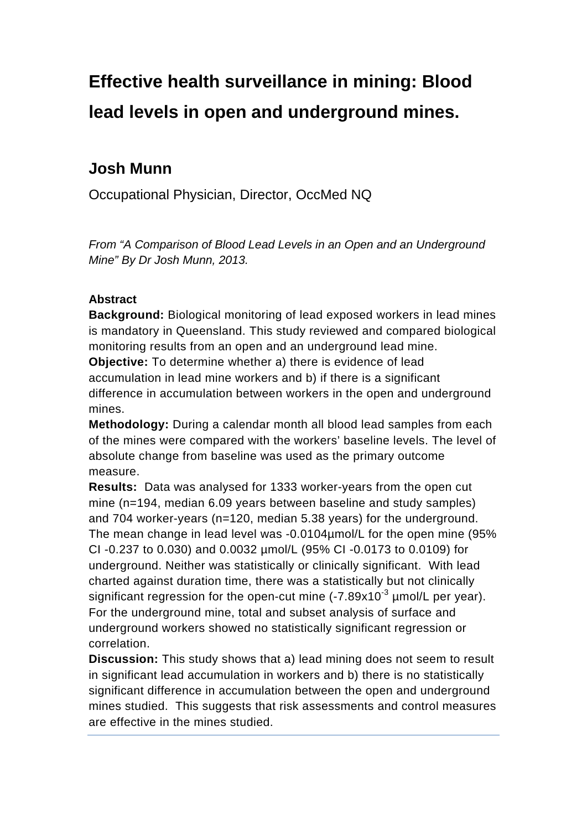# **Effective health surveillance in mining: Blood lead levels in open and underground mines.**

# **Josh Munn**

Occupational Physician, Director, OccMed NQ

*From "A Comparison of Blood Lead Levels in an Open and an Underground Mine" By Dr Josh Munn, 2013.*

#### **Abstract**

**Background:** Biological monitoring of lead exposed workers in lead mines is mandatory in Queensland. This study reviewed and compared biological monitoring results from an open and an underground lead mine.

**Objective:** To determine whether a) there is evidence of lead accumulation in lead mine workers and b) if there is a significant difference in accumulation between workers in the open and underground mines.

**Methodology:** During a calendar month all blood lead samples from each of the mines were compared with the workers' baseline levels. The level of absolute change from baseline was used as the primary outcome measure.

**Results:** Data was analysed for 1333 worker-years from the open cut mine (n=194, median 6.09 years between baseline and study samples) and 704 worker-years (n=120, median 5.38 years) for the underground. The mean change in lead level was -0.0104µmol/L for the open mine (95% CI -0.237 to 0.030) and 0.0032 µmol/L (95% CI -0.0173 to 0.0109) for underground. Neither was statistically or clinically significant. With lead charted against duration time, there was a statistically but not clinically significant regression for the open-cut mine  $(-7.89 \times 10^{-3} \text{ \mu mol/L}$  per year). For the underground mine, total and subset analysis of surface and underground workers showed no statistically significant regression or correlation.

**Discussion:** This study shows that a) lead mining does not seem to result in significant lead accumulation in workers and b) there is no statistically significant difference in accumulation between the open and underground mines studied. This suggests that risk assessments and control measures are effective in the mines studied.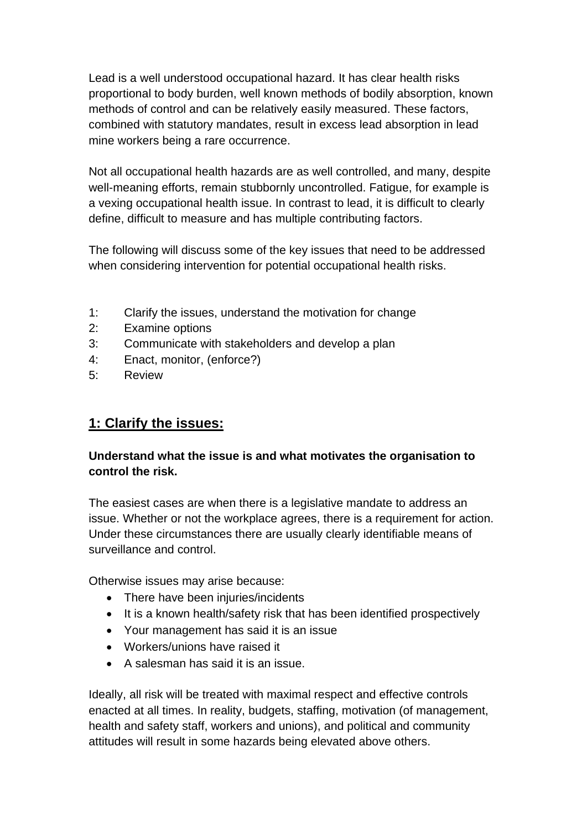Lead is a well understood occupational hazard. It has clear health risks proportional to body burden, well known methods of bodily absorption, known methods of control and can be relatively easily measured. These factors, combined with statutory mandates, result in excess lead absorption in lead mine workers being a rare occurrence.

Not all occupational health hazards are as well controlled, and many, despite well-meaning efforts, remain stubbornly uncontrolled. Fatigue, for example is a vexing occupational health issue. In contrast to lead, it is difficult to clearly define, difficult to measure and has multiple contributing factors.

The following will discuss some of the key issues that need to be addressed when considering intervention for potential occupational health risks.

- 1: Clarify the issues, understand the motivation for change
- 2: Examine options
- 3: Communicate with stakeholders and develop a plan
- 4: Enact, monitor, (enforce?)
- 5: Review

## **1: Clarify the issues:**

#### **Understand what the issue is and what motivates the organisation to control the risk.**

The easiest cases are when there is a legislative mandate to address an issue. Whether or not the workplace agrees, there is a requirement for action. Under these circumstances there are usually clearly identifiable means of surveillance and control.

Otherwise issues may arise because:

- There have been injuries/incidents
- It is a known health/safety risk that has been identified prospectively
- Your management has said it is an issue
- Workers/unions have raised it
- A salesman has said it is an issue.

Ideally, all risk will be treated with maximal respect and effective controls enacted at all times. In reality, budgets, staffing, motivation (of management, health and safety staff, workers and unions), and political and community attitudes will result in some hazards being elevated above others.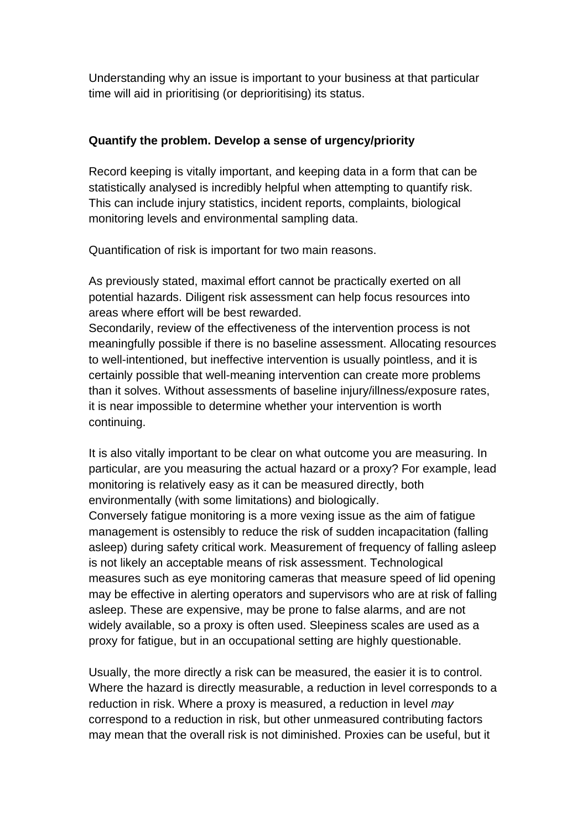Understanding why an issue is important to your business at that particular time will aid in prioritising (or deprioritising) its status.

#### **Quantify the problem. Develop a sense of urgency/priority**

Record keeping is vitally important, and keeping data in a form that can be statistically analysed is incredibly helpful when attempting to quantify risk. This can include injury statistics, incident reports, complaints, biological monitoring levels and environmental sampling data.

Quantification of risk is important for two main reasons.

As previously stated, maximal effort cannot be practically exerted on all potential hazards. Diligent risk assessment can help focus resources into areas where effort will be best rewarded.

Secondarily, review of the effectiveness of the intervention process is not meaningfully possible if there is no baseline assessment. Allocating resources to well-intentioned, but ineffective intervention is usually pointless, and it is certainly possible that well-meaning intervention can create more problems than it solves. Without assessments of baseline injury/illness/exposure rates, it is near impossible to determine whether your intervention is worth continuing.

It is also vitally important to be clear on what outcome you are measuring. In particular, are you measuring the actual hazard or a proxy? For example, lead monitoring is relatively easy as it can be measured directly, both environmentally (with some limitations) and biologically.

Conversely fatigue monitoring is a more vexing issue as the aim of fatigue management is ostensibly to reduce the risk of sudden incapacitation (falling asleep) during safety critical work. Measurement of frequency of falling asleep is not likely an acceptable means of risk assessment. Technological measures such as eye monitoring cameras that measure speed of lid opening may be effective in alerting operators and supervisors who are at risk of falling asleep. These are expensive, may be prone to false alarms, and are not widely available, so a proxy is often used. Sleepiness scales are used as a proxy for fatigue, but in an occupational setting are highly questionable.

Usually, the more directly a risk can be measured, the easier it is to control. Where the hazard is directly measurable, a reduction in level corresponds to a reduction in risk. Where a proxy is measured, a reduction in level *may* correspond to a reduction in risk, but other unmeasured contributing factors may mean that the overall risk is not diminished. Proxies can be useful, but it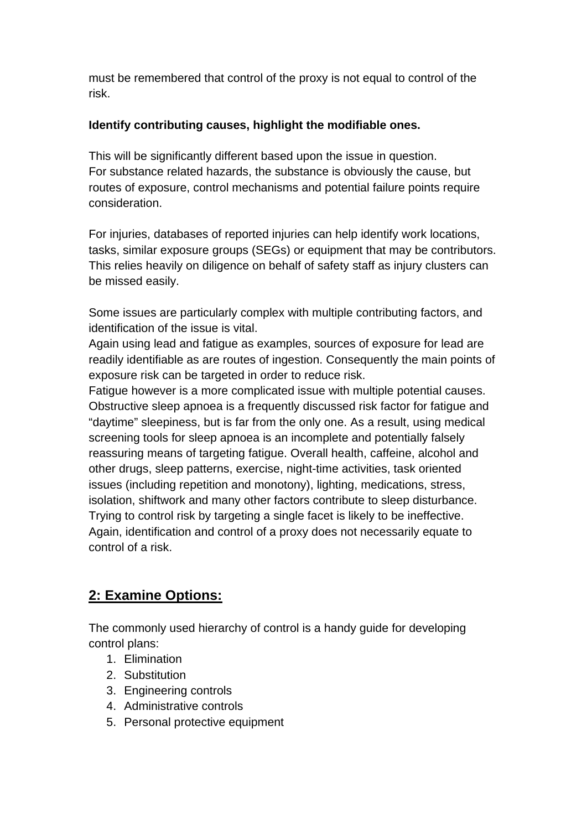must be remembered that control of the proxy is not equal to control of the risk.

#### **Identify contributing causes, highlight the modifiable ones.**

This will be significantly different based upon the issue in question. For substance related hazards, the substance is obviously the cause, but routes of exposure, control mechanisms and potential failure points require consideration.

For injuries, databases of reported injuries can help identify work locations, tasks, similar exposure groups (SEGs) or equipment that may be contributors. This relies heavily on diligence on behalf of safety staff as injury clusters can be missed easily.

Some issues are particularly complex with multiple contributing factors, and identification of the issue is vital.

Again using lead and fatigue as examples, sources of exposure for lead are readily identifiable as are routes of ingestion. Consequently the main points of exposure risk can be targeted in order to reduce risk.

Fatigue however is a more complicated issue with multiple potential causes. Obstructive sleep apnoea is a frequently discussed risk factor for fatigue and "daytime" sleepiness, but is far from the only one. As a result, using medical screening tools for sleep apnoea is an incomplete and potentially falsely reassuring means of targeting fatigue. Overall health, caffeine, alcohol and other drugs, sleep patterns, exercise, night-time activities, task oriented issues (including repetition and monotony), lighting, medications, stress, isolation, shiftwork and many other factors contribute to sleep disturbance. Trying to control risk by targeting a single facet is likely to be ineffective. Again, identification and control of a proxy does not necessarily equate to control of a risk.

## **2: Examine Options:**

The commonly used hierarchy of control is a handy guide for developing control plans:

- 1. Elimination
- 2. Substitution
- 3. Engineering controls
- 4. Administrative controls
- 5. Personal protective equipment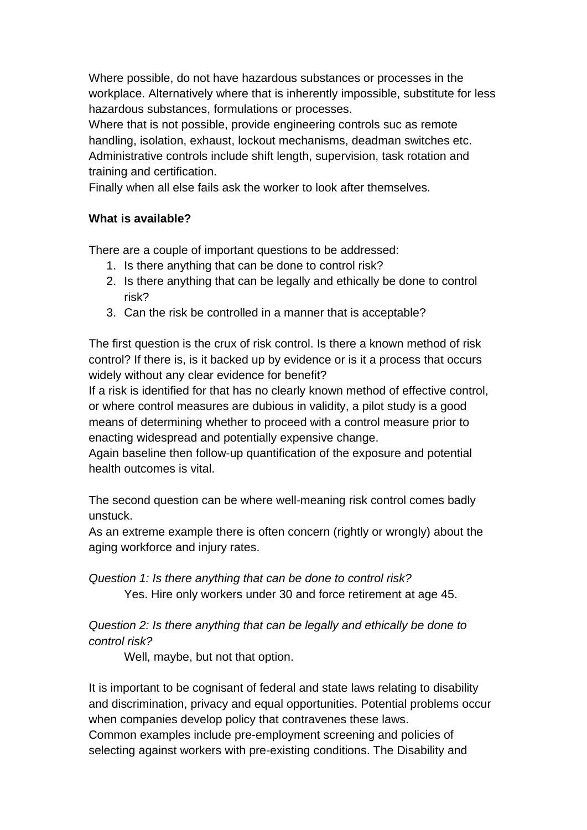Where possible, do not have hazardous substances or processes in the workplace. Alternatively where that is inherently impossible, substitute for less hazardous substances, formulations or processes.

Where that is not possible, provide engineering controls suc as remote handling, isolation, exhaust, lockout mechanisms, deadman switches etc. Administrative controls include shift length, supervision, task rotation and training and certification.

Finally when all else fails ask the worker to look after themselves.

#### **What is available?**

There are a couple of important questions to be addressed:

- 1. Is there anything that can be done to control risk?
- 2. Is there anything that can be legally and ethically be done to control risk?
- 3. Can the risk be controlled in a manner that is acceptable?

The first question is the crux of risk control. Is there a known method of risk control? If there is, is it backed up by evidence or is it a process that occurs widely without any clear evidence for benefit?

If a risk is identified for that has no clearly known method of effective control, or where control measures are dubious in validity, a pilot study is a good means of determining whether to proceed with a control measure prior to enacting widespread and potentially expensive change.

Again baseline then follow-up quantification of the exposure and potential health outcomes is vital.

The second question can be where well-meaning risk control comes badly unstuck.

As an extreme example there is often concern (rightly or wrongly) about the aging workforce and injury rates.

*Question 1: Is there anything that can be done to control risk?*  Yes. Hire only workers under 30 and force retirement at age 45.

## *Question 2: Is there anything that can be legally and ethically be done to control risk?*

Well, maybe, but not that option.

It is important to be cognisant of federal and state laws relating to disability and discrimination, privacy and equal opportunities. Potential problems occur when companies develop policy that contravenes these laws. Common examples include pre-employment screening and policies of selecting against workers with pre-existing conditions. The Disability and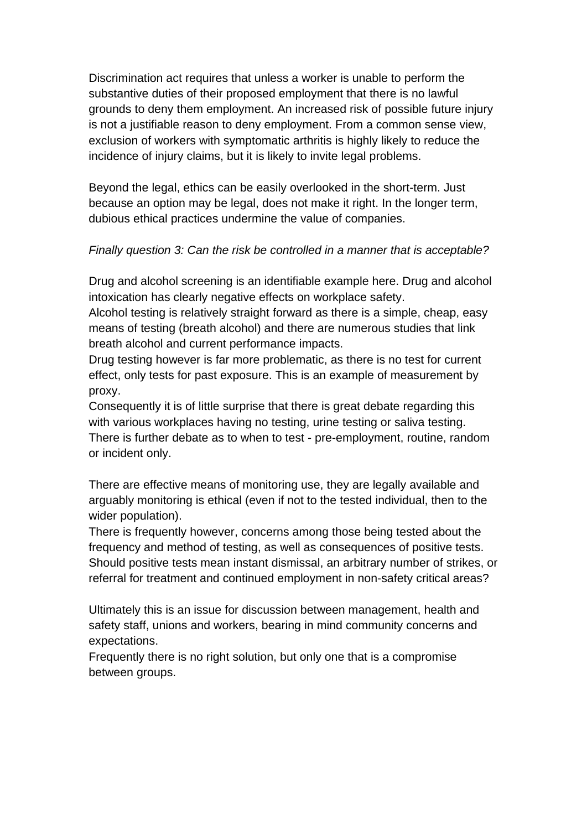Discrimination act requires that unless a worker is unable to perform the substantive duties of their proposed employment that there is no lawful grounds to deny them employment. An increased risk of possible future injury is not a justifiable reason to deny employment. From a common sense view, exclusion of workers with symptomatic arthritis is highly likely to reduce the incidence of injury claims, but it is likely to invite legal problems.

Beyond the legal, ethics can be easily overlooked in the short-term. Just because an option may be legal, does not make it right. In the longer term, dubious ethical practices undermine the value of companies.

#### *Finally question 3: Can the risk be controlled in a manner that is acceptable?*

Drug and alcohol screening is an identifiable example here. Drug and alcohol intoxication has clearly negative effects on workplace safety.

Alcohol testing is relatively straight forward as there is a simple, cheap, easy means of testing (breath alcohol) and there are numerous studies that link breath alcohol and current performance impacts.

Drug testing however is far more problematic, as there is no test for current effect, only tests for past exposure. This is an example of measurement by proxy.

Consequently it is of little surprise that there is great debate regarding this with various workplaces having no testing, urine testing or saliva testing. There is further debate as to when to test - pre-employment, routine, random or incident only.

There are effective means of monitoring use, they are legally available and arguably monitoring is ethical (even if not to the tested individual, then to the wider population).

There is frequently however, concerns among those being tested about the frequency and method of testing, as well as consequences of positive tests. Should positive tests mean instant dismissal, an arbitrary number of strikes, or referral for treatment and continued employment in non-safety critical areas?

Ultimately this is an issue for discussion between management, health and safety staff, unions and workers, bearing in mind community concerns and expectations.

Frequently there is no right solution, but only one that is a compromise between groups.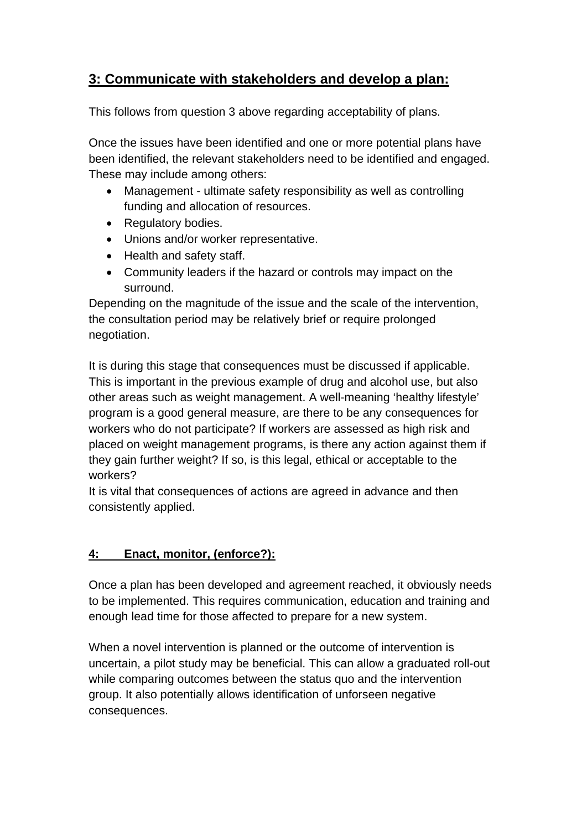## **3: Communicate with stakeholders and develop a plan:**

This follows from question 3 above regarding acceptability of plans.

Once the issues have been identified and one or more potential plans have been identified, the relevant stakeholders need to be identified and engaged. These may include among others:

- Management ultimate safety responsibility as well as controlling funding and allocation of resources.
- Regulatory bodies.
- Unions and/or worker representative.
- Health and safety staff.
- Community leaders if the hazard or controls may impact on the surround.

Depending on the magnitude of the issue and the scale of the intervention, the consultation period may be relatively brief or require prolonged negotiation.

It is during this stage that consequences must be discussed if applicable. This is important in the previous example of drug and alcohol use, but also other areas such as weight management. A well-meaning 'healthy lifestyle' program is a good general measure, are there to be any consequences for workers who do not participate? If workers are assessed as high risk and placed on weight management programs, is there any action against them if they gain further weight? If so, is this legal, ethical or acceptable to the workers?

It is vital that consequences of actions are agreed in advance and then consistently applied.

## **4: Enact, monitor, (enforce?):**

Once a plan has been developed and agreement reached, it obviously needs to be implemented. This requires communication, education and training and enough lead time for those affected to prepare for a new system.

When a novel intervention is planned or the outcome of intervention is uncertain, a pilot study may be beneficial. This can allow a graduated roll-out while comparing outcomes between the status quo and the intervention group. It also potentially allows identification of unforseen negative consequences.